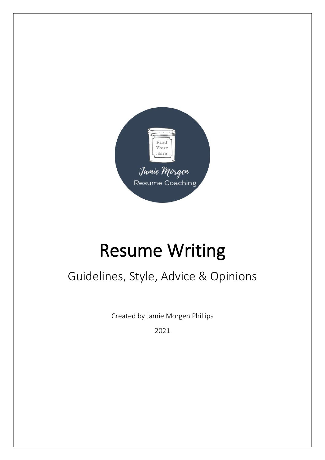

# Resume Writing

## Guidelines, Style, Advice & Opinions

Created by Jamie Morgen Phillips

2021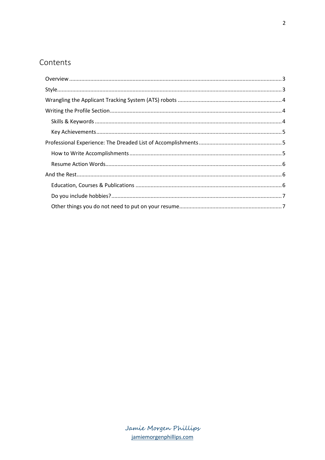### Contents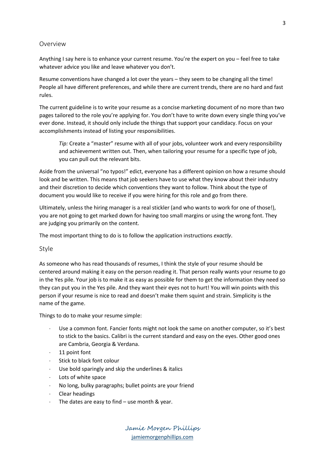#### <span id="page-2-0"></span>Overview

Anything I say here is to enhance your current resume. You're the expert on you – feel free to take whatever advice you like and leave whatever you don't.

Resume conventions have changed a lot over the years – they seem to be changing all the time! People all have different preferences, and while there are current trends, there are no hard and fast rules.

The current guideline is to write your resume as a concise marketing document of no more than two pages tailored to the role you're applying for. You don't have to write down every single thing you've ever done. Instead, it should only include the things that support your candidacy. Focus on your accomplishments instead of listing your responsibilities.

*Tip:* Create a "master" resume with all of your jobs, volunteer work and every responsibility and achievement written out. Then, when tailoring your resume for a specific type of job, you can pull out the relevant bits.

Aside from the universal "no typos!" edict, everyone has a different opinion on how a resume should look and be written. This means that job seekers have to use what they know about their industry and their discretion to decide which conventions they want to follow. Think about the type of document you would like to receive if you were hiring for this role and go from there.

Ultimately, unless the hiring manager is a real stickler (and who wants to work for one of those!), you are not going to get marked down for having too small margins or using the wrong font. They are judging you primarily on the content.

The most important thing to do is to follow the application instructions *exactly*.

<span id="page-2-1"></span>Style

As someone who has read thousands of resumes, I think the style of your resume should be centered around making it easy on the person reading it. That person really wants your resume to go in the Yes pile. Your job is to make it as easy as possible for them to get the information they need so they can put you in the Yes pile. And they want their eyes not to hurt! You will win points with this person if your resume is nice to read and doesn't make them squint and strain. Simplicity is the name of the game.

Things to do to make your resume simple:

- Use a common font. Fancier fonts might not look the same on another computer, so it's best to stick to the basics. Calibri is the current standard and easy on the eyes. Other good ones are Cambria, Georgia & Verdana.
- 11 point font
- Stick to black font colour
- Use bold sparingly and skip the underlines & italics
- Lots of white space
- No long, bulky paragraphs; bullet points are your friend
- Clear headings
- The dates are easy to find use month & year.

3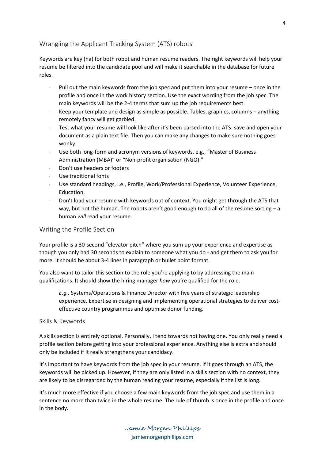#### <span id="page-3-0"></span>Wrangling the Applicant Tracking System (ATS) robots

Keywords are key (ha) for both robot and human resume readers. The right keywords will help your resume be filtered into the candidate pool and will make it searchable in the database for future roles.

- Pull out the main keywords from the job spec and put them into your resume once in the profile and once in the work history section. Use the exact wording from the job spec. The main keywords will be the 2-4 terms that sum up the job requirements best.
- Keep your template and design as simple as possible. Tables, graphics, columns  $-$  anything remotely fancy will get garbled.
- Test what your resume will look like after it's been parsed into the ATS: save and open your document as a plain text file. Then you can make any changes to make sure nothing goes wonky.
- Use both long-form and acronym versions of keywords, e.g., "Master of Business Administration (MBA)" or "Non-profit organisation (NGO)."
- Don't use headers or footers
- Use traditional fonts
- Use standard headings, i.e., Profile, Work/Professional Experience, Volunteer Experience, Education.
- Don't load your resume with keywords out of context. You might get through the ATS that way, but not the human. The robots aren't good enough to do all of the resume sorting – a human *will* read your resume.

#### <span id="page-3-1"></span>Writing the Profile Section

Your profile is a 30-second "elevator pitch" where you sum up your experience and expertise as though you only had 30 seconds to explain to someone what you do - and get them to ask you for more. It should be about 3-4 lines in paragraph or bullet point format.

You also want to tailor this section to the role you're applying to by addressing the main qualifications. It should show the hiring manager *how* you're qualified for the role.

*E.g.,* Systems/Operations & Finance Director with five years of strategic leadership experience. Expertise in designing and implementing operational strategies to deliver costeffective country programmes and optimise donor funding.

#### <span id="page-3-2"></span>Skills & Keywords

A skills section is entirely optional. Personally, I tend towards not having one. You only really need a profile section before getting into your professional experience. Anything else is extra and should only be included if it really strengthens your candidacy.

It's important to have keywords from the job spec in your resume. If it goes through an ATS, the keywords will be picked up. However, if they are only listed in a skills section with no context, they are likely to be disregarded by the human reading your resume, especially if the list is long.

It's much more effective if you choose a few main keywords from the job spec and use them in a sentence no more than twice in the whole resume. The rule of thumb is once in the profile and once in the body.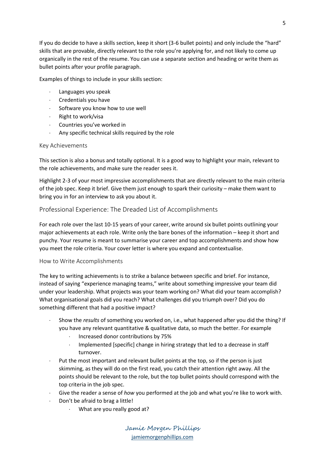If you do decide to have a skills section, keep it short (3-6 bullet points) and only include the "hard" skills that are provable, directly relevant to the role you're applying for, and not likely to come up organically in the rest of the resume. You can use a separate section and heading or write them as bullet points after your profile paragraph.

Examples of things to include in your skills section:

- Languages you speak
- Credentials you have
- $\cdot$  Software you know how to use well
- Right to work/visa
- Countries you've worked in
- Any specific technical skills required by the role

#### <span id="page-4-0"></span>Key Achievements

This section is also a bonus and totally optional. It is a good way to highlight your main, relevant to the role achievements, and make sure the reader sees it.

Highlight 2-3 of your most impressive accomplishments that are directly relevant to the main criteria of the job spec. Keep it brief. Give them just enough to spark their curiosity – make them want to bring you in for an interview to ask you about it.

#### <span id="page-4-1"></span>Professional Experience: The Dreaded List of Accomplishments

For each role over the last 10-15 years of your career, write around six bullet points outlining your major achievements at each role. Write only the bare bones of the information – keep it short and punchy. Your resume is meant to summarise your career and top accomplishments and show how you meet the role criteria. Your cover letter is where you expand and contextualise.

#### <span id="page-4-2"></span>How to Write Accomplishments

The key to writing achievements is to strike a balance between specific and brief. For instance, instead of saying "experience managing teams," write about something impressive your team did under your leadership. What projects was your team working on? What did your team accomplish? What organisational goals did you reach? What challenges did you triumph over? Did you do something different that had a positive impact?

- Show the *results* of something you worked on, i.e., what happened after you did the thing? If you have any relevant quantitative & qualitative data, so much the better. For example
	- Increased donor contributions by 75%
	- Implemented [specific] change in hiring strategy that led to a decrease in staff turnover.
- Put the most important and relevant bullet points at the top, so if the person is just skimming, as they will do on the first read, you catch their attention right away. All the points should be relevant to the role, but the top bullet points should correspond with the top criteria in the job spec.
- Give the reader a sense of *how* you performed at the job and what you're like to work with.
- Don't be afraid to brag a little!
	- What are you really good at?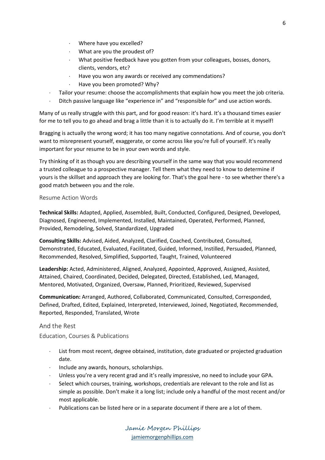- Where have you excelled?
- What are you the proudest of?
- What positive feedback have you gotten from your colleagues, bosses, donors, clients, vendors, etc?
- Have you won any awards or received any commendations?
- Have you been promoted? Why?
- Tailor your resume: choose the accomplishments that explain how you meet the job criteria.
- Ditch passive language like "experience in" and "responsible for" and use action words.

Many of us really struggle with this part, and for good reason: it's hard. It's a thousand times easier for me to tell you to go ahead and brag a little than it is to actually do it. I'm terrible at it myself!

Bragging is actually the wrong word; it has too many negative connotations. And of course, you don't want to misrepresent yourself, exaggerate, or come across like you're full of yourself. It's really important for your resume to be in your own words and style.

Try thinking of it as though you are describing yourself in the same way that you would recommend a trusted colleague to a prospective manager. Tell them what they need to know to determine if yours is the skillset and approach they are looking for. That's the goal here - to see whether there's a good match between you and the role.

#### <span id="page-5-0"></span>Resume Action Words

**Technical Skills:** Adapted, Applied, Assembled, Built, Conducted, Configured, Designed, Developed, Diagnosed, Engineered, Implemented, Installed, Maintained, Operated, Performed, Planned, Provided, Remodeling, Solved, Standardized, Upgraded

**Consulting Skills:** Advised, Aided, Analyzed, Clarified, Coached, Contributed, Consulted, Demonstrated, Educated, Evaluated, Facilitated, Guided, Informed, Instilled, Persuaded, Planned, Recommended, Resolved, Simplified, Supported, Taught, Trained, Volunteered

**Leadership:** Acted, Administered, Aligned, Analyzed, Appointed, Approved, Assigned, Assisted, Attained, Chaired, Coordinated, Decided, Delegated, Directed, Established, Led, Managed, Mentored, Motivated, Organized, Oversaw, Planned, Prioritized, Reviewed, Supervised

**Communication:** Arranged, Authored, Collaborated, Communicated, Consulted, Corresponded, Defined, Drafted, Edited, Explained, Interpreted, Interviewed, Joined, Negotiated, Recommended, Reported, Responded, Translated, Wrote

#### <span id="page-5-1"></span>And the Rest

<span id="page-5-2"></span>Education, Courses & Publications

- List from most recent, degree obtained, institution, date graduated or projected graduation date.
- Include any awards, honours, scholarships.
- Unless you're a very recent grad and it's really impressive, no need to include your GPA.
- Select which courses, training, workshops, credentials are relevant to the role and list as simple as possible. Don't make it a long list; include only a handful of the most recent and/or most applicable.
- Publications can be listed here or in a separate document if there are a lot of them.

6